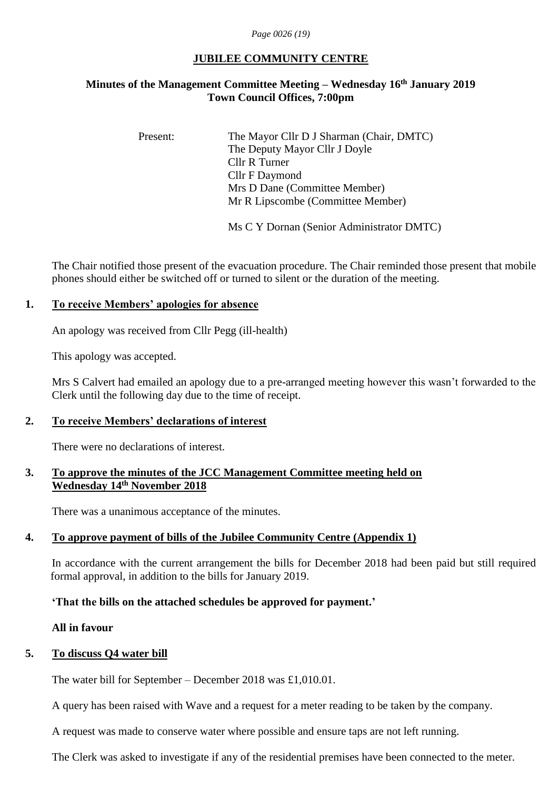*Page 0026 (19)*

## **JUBILEE COMMUNITY CENTRE**

## **Minutes of the Management Committee Meeting – Wednesday 16 th January 2019 Town Council Offices, 7:00pm**

Present: The Mayor Cllr D J Sharman (Chair, DMTC) The Deputy Mayor Cllr J Doyle Cllr R Turner Cllr F Daymond Mrs D Dane (Committee Member) Mr R Lipscombe (Committee Member)

Ms C Y Dornan (Senior Administrator DMTC)

The Chair notified those present of the evacuation procedure. The Chair reminded those present that mobile phones should either be switched off or turned to silent or the duration of the meeting.

#### **1. To receive Members' apologies for absence**

An apology was received from Cllr Pegg (ill-health)

This apology was accepted.

Mrs S Calvert had emailed an apology due to a pre-arranged meeting however this wasn't forwarded to the Clerk until the following day due to the time of receipt.

# **2. To receive Members' declarations of interest**

There were no declarations of interest.

#### **3. To approve the minutes of the JCC Management Committee meeting held on Wednesday 14 th November 2018**

There was a unanimous acceptance of the minutes.

# **4. To approve payment of bills of the Jubilee Community Centre (Appendix 1)**

In accordance with the current arrangement the bills for December 2018 had been paid but still required formal approval, in addition to the bills for January 2019.

# **'That the bills on the attached schedules be approved for payment.'**

#### **All in favour**

#### **5. To discuss Q4 water bill**

The water bill for September – December 2018 was £1,010.01.

A query has been raised with Wave and a request for a meter reading to be taken by the company.

A request was made to conserve water where possible and ensure taps are not left running.

The Clerk was asked to investigate if any of the residential premises have been connected to the meter.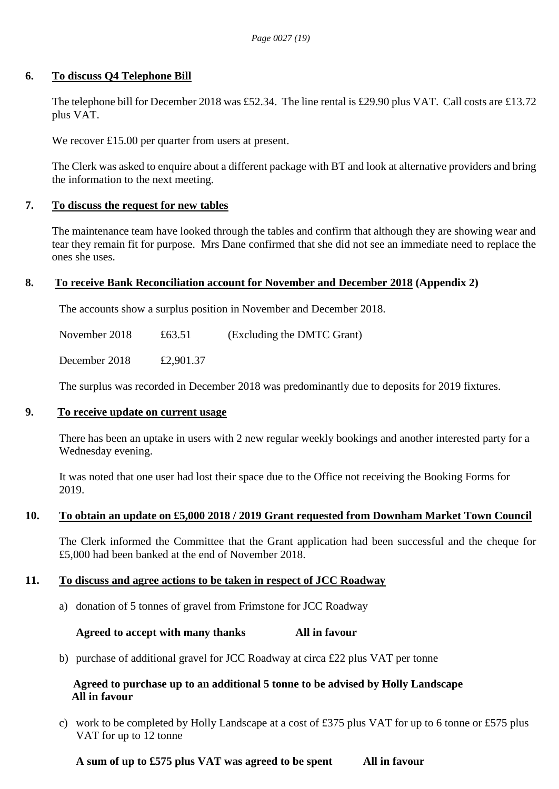#### **6. To discuss Q4 Telephone Bill**

The telephone bill for December 2018 was £52.34. The line rental is £29.90 plus VAT. Call costs are £13.72 plus VAT.

We recover £15.00 per quarter from users at present.

The Clerk was asked to enquire about a different package with BT and look at alternative providers and bring the information to the next meeting.

# **7. To discuss the request for new tables**

The maintenance team have looked through the tables and confirm that although they are showing wear and tear they remain fit for purpose. Mrs Dane confirmed that she did not see an immediate need to replace the ones she uses.

#### **8. To receive Bank Reconciliation account for November and December 2018 (Appendix 2)**

The accounts show a surplus position in November and December 2018.

November 2018  $\text{\textsterling}63.51$  (Excluding the DMTC Grant)

December 2018 £2,901.37

The surplus was recorded in December 2018 was predominantly due to deposits for 2019 fixtures.

#### **9. To receive update on current usage**

There has been an uptake in users with 2 new regular weekly bookings and another interested party for a Wednesday evening.

It was noted that one user had lost their space due to the Office not receiving the Booking Forms for 2019.

# **10. To obtain an update on £5,000 2018 / 2019 Grant requested from Downham Market Town Council**

The Clerk informed the Committee that the Grant application had been successful and the cheque for £5,000 had been banked at the end of November 2018.

# **11. To discuss and agree actions to be taken in respect of JCC Roadway**

a) donation of 5 tonnes of gravel from Frimstone for JCC Roadway

# **Agreed to accept with many thanks All in favour**

b) purchase of additional gravel for JCC Roadway at circa £22 plus VAT per tonne

# **Agreed to purchase up to an additional 5 tonne to be advised by Holly Landscape All in favour**

c) work to be completed by Holly Landscape at a cost of £375 plus VAT for up to 6 tonne or £575 plus VAT for up to 12 tonne

 **A sum of up to £575 plus VAT was agreed to be spent All in favour**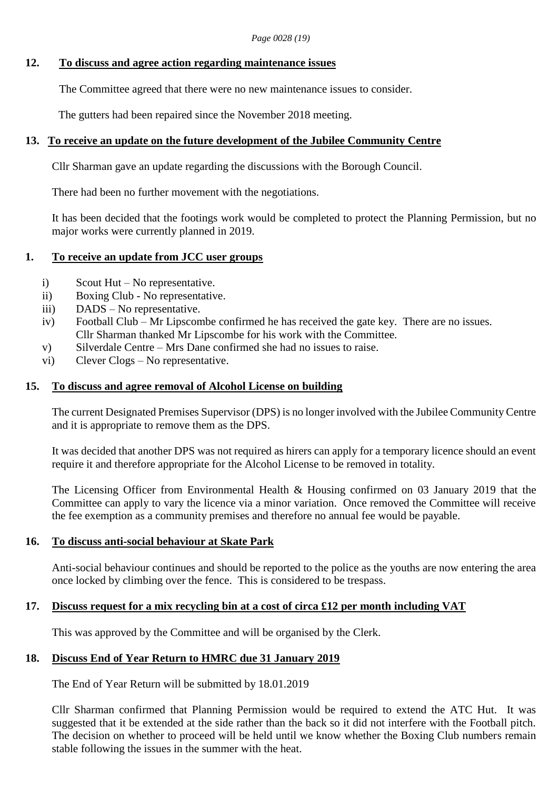*Page 0028 (19)*

#### **12. To discuss and agree action regarding maintenance issues**

The Committee agreed that there were no new maintenance issues to consider.

The gutters had been repaired since the November 2018 meeting.

#### **13. To receive an update on the future development of the Jubilee Community Centre**

Cllr Sharman gave an update regarding the discussions with the Borough Council.

There had been no further movement with the negotiations.

It has been decided that the footings work would be completed to protect the Planning Permission, but no major works were currently planned in 2019.

#### **1. To receive an update from JCC user groups**

- i) Scout Hut No representative.
- ii) Boxing Club No representative.
- iii) DADS No representative.
- iv) Football Club Mr Lipscombe confirmed he has received the gate key. There are no issues. Cllr Sharman thanked Mr Lipscombe for his work with the Committee.
- v) Silverdale Centre Mrs Dane confirmed she had no issues to raise.
- vi) Clever Clogs No representative.

#### **15. To discuss and agree removal of Alcohol License on building**

The current Designated Premises Supervisor (DPS) is no longer involved with the Jubilee Community Centre and it is appropriate to remove them as the DPS.

It was decided that another DPS was not required as hirers can apply for a temporary licence should an event require it and therefore appropriate for the Alcohol License to be removed in totality.

The Licensing Officer from Environmental Health & Housing confirmed on 03 January 2019 that the Committee can apply to vary the licence via a minor variation. Once removed the Committee will receive the fee exemption as a community premises and therefore no annual fee would be payable.

# **16. To discuss anti-social behaviour at Skate Park**

Anti-social behaviour continues and should be reported to the police as the youths are now entering the area once locked by climbing over the fence. This is considered to be trespass.

# **17. Discuss request for a mix recycling bin at a cost of circa £12 per month including VAT**

This was approved by the Committee and will be organised by the Clerk.

# **18. Discuss End of Year Return to HMRC due 31 January 2019**

The End of Year Return will be submitted by 18.01.2019

Cllr Sharman confirmed that Planning Permission would be required to extend the ATC Hut. It was suggested that it be extended at the side rather than the back so it did not interfere with the Football pitch. The decision on whether to proceed will be held until we know whether the Boxing Club numbers remain stable following the issues in the summer with the heat.